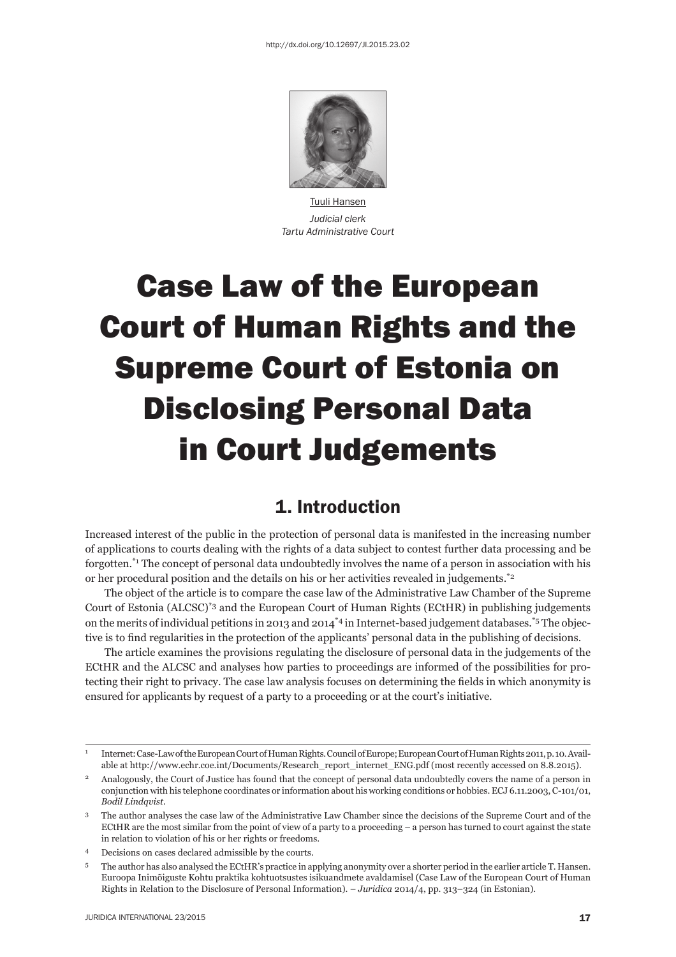

Tuuli Hansen *Judicial clerk Tartu Administrative Court*

# Case Law of the European Court of Human Rights and the Supreme Court of Estonia on Disclosing Personal Data in Court Judgements

## 1. Introduction

Increased interest of the public in the protection of personal data is manifested in the increasing number of applications to courts dealing with the rights of a data subject to contest further data processing and be forgotten.\*1 The concept of personal data undoubtedly involves the name of a person in association with his or her procedural position and the details on his or her activities revealed in judgements.\*2

The object of the article is to compare the case law of the Administrative Law Chamber of the Supreme Court of Estonia (ALCSC)\*3 and the European Court of Human Rights (ECtHR) in publishing judgements on the merits of individual petitions in 2013 and 2014<sup> $*4$ </sup> in Internet-based judgement databases.<sup>\*5</sup> The objective is to find regularities in the protection of the applicants' personal data in the publishing of decisions.

The article examines the provisions regulating the disclosure of personal data in the judgements of the ECtHR and the ALCSC and analyses how parties to proceedings are informed of the possibilities for protecting their right to privacy. The case law analysis focuses on determining the fields in which anonymity is ensured for applicants by request of a party to a proceeding or at the court's initiative.

<sup>1</sup> Internet: Case-Law of the European Court of Human Rights. Council of Europe; European Court of Human Rights 2011, p. 10. Available at http://www.echr.coe.int/Documents/Research\_report\_internet\_ENG.pdf (most recently accessed on 8.8.2015).

<sup>2</sup> Analogously, the Court of Justice has found that the concept of personal data undoubtedly covers the name of a person in conjunction with his telephone coordinates or information about his working conditions or hobbies. ECJ 6.11.2003, C-101/01, *Bodil Lindqvist*.

<sup>&</sup>lt;sup>3</sup> The author analyses the case law of the Administrative Law Chamber since the decisions of the Supreme Court and of the ECtHR are the most similar from the point of view of a party to a proceeding – a person has turned to court against the state in relation to violation of his or her rights or freedoms.

<sup>4</sup> Decisions on cases declared admissible by the courts.

<sup>5</sup> The author has also analysed the ECtHR's practice in applying anonymity over a shorter period in the earlier article T. Hansen. Euroopa Inimõiguste Kohtu praktika kohtuotsustes isikuandmete avaldamisel (Case Law of the European Court of Human Rights in Relation to the Disclosure of Personal Information). – *Juridica* 2014/4, pp. 313–324 (in Estonian).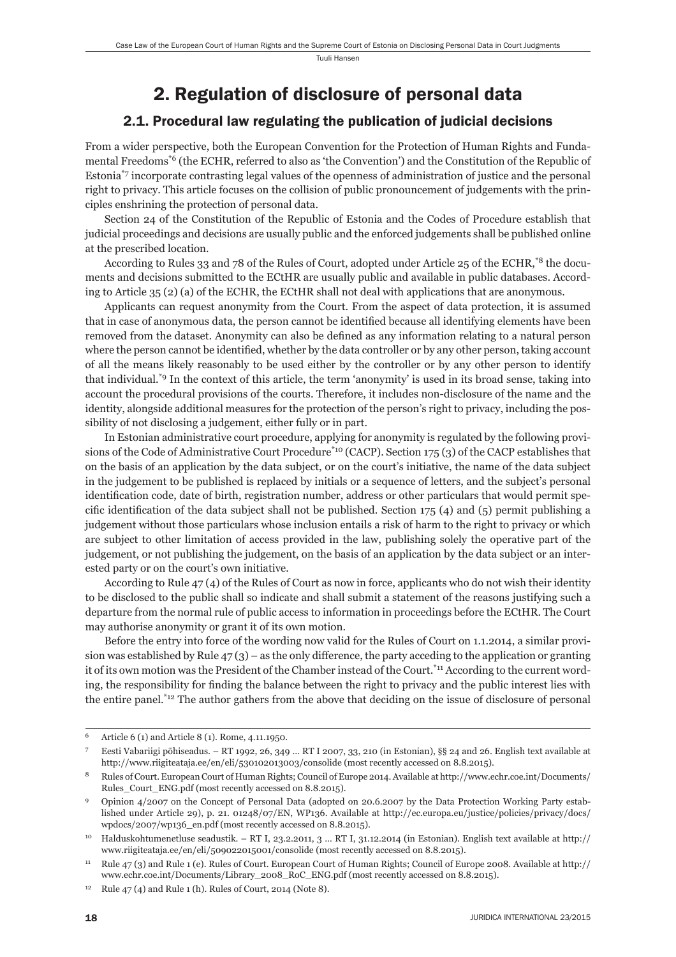Tuuli Hansen

## 2. Regulation of disclosure of personal data

#### 2.1. Procedural law regulating the publication of judicial decisions

From a wider perspective, both the European Convention for the Protection of Human Rights and Fundamental Freedoms\*6 (the ECHR, referred to also as 'the Convention') and the Constitution of the Republic of Estonia\*7 incorporate contrasting legal values of the openness of administration of justice and the personal right to privacy. This article focuses on the collision of public pronouncement of judgements with the principles enshrining the protection of personal data.

Section 24 of the Constitution of the Republic of Estonia and the Codes of Procedure establish that judicial proceedings and decisions are usually public and the enforced judgements shall be published online at the prescribed location.

According to Rules 33 and 78 of the Rules of Court, adopted under Article 25 of the ECHR,\*8 the documents and decisions submitted to the ECtHR are usually public and available in public databases. According to Article 35 (2) (a) of the ECHR, the ECtHR shall not deal with applications that are anonymous.

Applicants can request anonymity from the Court. From the aspect of data protection, it is assumed that in case of anonymous data, the person cannot be identified because all identifying elements have been removed from the dataset. Anonymity can also be defined as any information relating to a natural person where the person cannot be identified, whether by the data controller or by any other person, taking account of all the means likely reasonably to be used either by the controller or by any other person to identify that individual.\*9 In the context of this article, the term 'anonymity' is used in its broad sense, taking into account the procedural provisions of the courts. Therefore, it includes non-disclosure of the name and the identity, alongside additional measures for the protection of the person's right to privacy, including the possibility of not disclosing a judgement, either fully or in part.

In Estonian administrative court procedure, applying for anonymity is regulated by the following provisions of the Code of Administrative Court Procedure\*10 (CACP). Section 175 (3) of the CACP establishes that on the basis of an application by the data subject, or on the court's initiative, the name of the data subject in the judgement to be published is replaced by initials or a sequence of letters, and the subject's personal identification code, date of birth, registration number, address or other particulars that would permit specific identification of the data subject shall not be published. Section  $175$  (4) and (5) permit publishing a judgement without those particulars whose inclusion entails a risk of harm to the right to privacy or which are subject to other limitation of access provided in the law, publishing solely the operative part of the judgement, or not publishing the judgement, on the basis of an application by the data subject or an interested party or on the court's own initiative.

According to Rule 47 (4) of the Rules of Court as now in force, applicants who do not wish their identity to be disclosed to the public shall so indicate and shall submit a statement of the reasons justifying such a departure from the normal rule of public access to information in proceedings before the ECtHR. The Court may authorise anonymity or grant it of its own motion.

Before the entry into force of the wording now valid for the Rules of Court on 1.1.2014, a similar provision was established by Rule  $47(3)$  – as the only difference, the party acceding to the application or granting it of its own motion was the President of the Chamber instead of the Court.<sup>\*11</sup> According to the current wording, the responsibility for finding the balance between the right to privacy and the public interest lies with the entire panel.\*12 The author gathers from the above that deciding on the issue of disclosure of personal

<sup>6</sup> Article 6 (1) and Article 8 (1). Rome, 4.11.1950.

<sup>7</sup> Eesti Vabariigi põhiseadus. – RT 1992, 26, 349 … RT I 2007, 33, 210 (in Estonian), §§ 24 and 26. English text available at http://www.riigiteataja.ee/en/eli/530102013003/consolide (most recently accessed on 8.8.2015).

<sup>8</sup> Rules of Court. European Court of Human Rights; Council of Europe 2014. Available at http://www.echr.coe.int/Documents/ Rules\_Court\_ENG.pdf (most recently accessed on 8.8.2015).

<sup>9</sup> Opinion 4/2007 on the Concept of Personal Data (adopted on 20.6.2007 by the Data Protection Working Party established under Article 29), p. 21. 01248/07/EN, WP136. Available at http://ec.europa.eu/justice/policies/privacy/docs/ wpdocs/2007/wp136\_en.pdf (most recently accessed on 8.8.2015).

<sup>10</sup> Halduskohtumenetluse seadustik. – RT I, 23.2.2011, 3 … RT I, 31.12.2014 (in Estonian). English text available at http:// www.riigiteataja.ee/en/eli/509022015001/consolide (most recently accessed on 8.8.2015).

<sup>11</sup> Rule 47 (3) and Rule 1 (e). Rules of Court. European Court of Human Rights; Council of Europe 2008. Available at http:// www.echr.coe.int/Documents/Library\_2008\_RoC\_ENG.pdf (most recently accessed on 8.8.2015).

 $12$  Rule 47 (4) and Rule 1 (h). Rules of Court, 2014 (Note 8).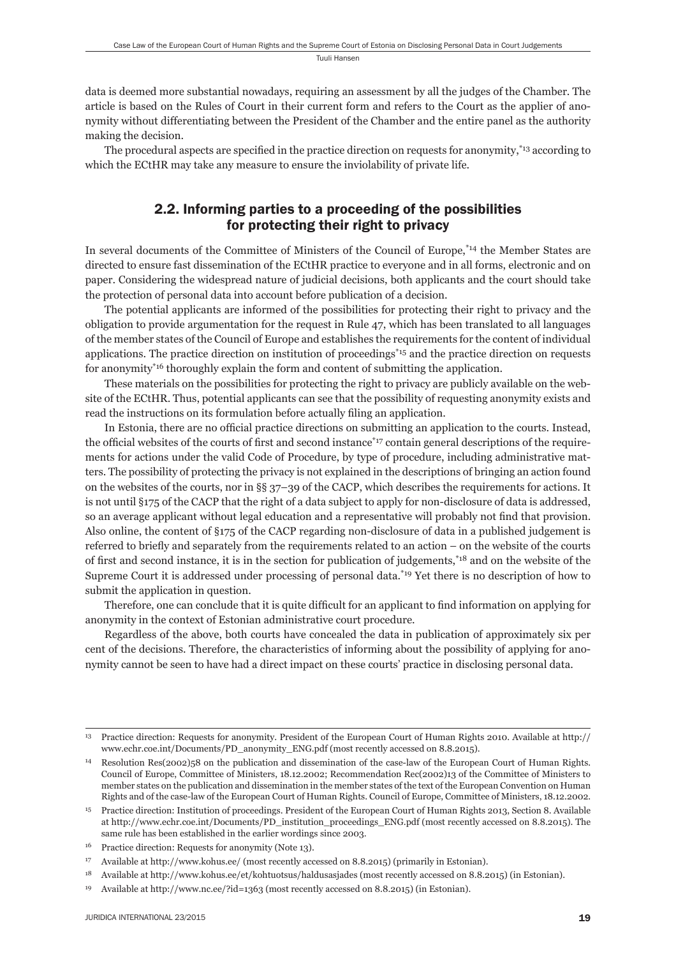data is deemed more substantial nowadays, requiring an assessment by all the judges of the Chamber. The article is based on the Rules of Court in their current form and refers to the Court as the applier of anonymity without differentiating between the President of the Chamber and the entire panel as the authority making the decision.

The procedural aspects are specified in the practice direction on requests for anonymity,<sup>\*13</sup> according to which the ECtHR may take any measure to ensure the inviolability of private life.

#### 2.2. Informing parties to a proceeding of the possibilities for protecting their right to privacy

In several documents of the Committee of Ministers of the Council of Europe,<sup>\*14</sup> the Member States are directed to ensure fast dissemination of the ECtHR practice to everyone and in all forms, electronic and on paper. Considering the widespread nature of judicial decisions, both applicants and the court should take the protection of personal data into account before publication of a decision.

The potential applicants are informed of the possibilities for protecting their right to privacy and the obligation to provide argumentation for the request in Rule 47, which has been translated to all languages of the member states of the Council of Europe and establishes the requirements for the content of individual applications. The practice direction on institution of proceedings $*15$  and the practice direction on requests for anonymity\*16 thoroughly explain the form and content of submitting the application.

These materials on the possibilities for protecting the right to privacy are publicly available on the website of the ECtHR. Thus, potential applicants can see that the possibility of requesting anonymity exists and read the instructions on its formulation before actually filing an application.

In Estonia, there are no official practice directions on submitting an application to the courts. Instead, the official websites of the courts of first and second instance<sup>\*17</sup> contain general descriptions of the requirements for actions under the valid Code of Procedure, by type of procedure, including administrative matters. The possibility of protecting the privacy is not explained in the descriptions of bringing an action found on the websites of the courts, nor in §§ 37–39 of the CACP, which describes the requirements for actions. It is not until §175 of the CACP that the right of a data subject to apply for non-disclosure of data is addressed, so an average applicant without legal education and a representative will probably not find that provision. Also online, the content of §175 of the CACP regarding non-disclosure of data in a published judgement is referred to briefly and separately from the requirements related to an action – on the website of the courts of first and second instance, it is in the section for publication of judgements,<sup>\*18</sup> and on the website of the Supreme Court it is addressed under processing of personal data.\*19 Yet there is no description of how to submit the application in question.

Therefore, one can conclude that it is quite difficult for an applicant to find information on applying for anonymity in the context of Estonian administrative court procedure.

Regardless of the above, both courts have concealed the data in publication of approximately six per cent of the decisions. Therefore, the characteristics of informing about the possibility of applying for anonymity cannot be seen to have had a direct impact on these courts' practice in disclosing personal data.

<sup>13</sup> Practice direction: Requests for anonymity. President of the European Court of Human Rights 2010. Available at http:// www.echr.coe.int/Documents/PD\_anonymity\_ENG.pdf (most recently accessed on 8.8.2015).

<sup>14</sup> Resolution Res(2002)58 on the publication and dissemination of the case-law of the European Court of Human Rights. Council of Europe, Committee of Ministers, 18.12.2002; Recommendation Rec(2002)13 of the Committee of Ministers to member states on the publication and dissemination in the member states of the text of the European Convention on Human Rights and of the case-law of the European Court of Human Rights. Council of Europe, Committee of Ministers, 18.12.2002.

<sup>15</sup> Practice direction: Institution of proceedings. President of the European Court of Human Rights 2013, Section 8. Available at http://www.echr.coe.int/Documents/PD\_institution\_proceedings\_ENG.pdf (most recently accessed on 8.8.2015). The same rule has been established in the earlier wordings since 2003.

<sup>16</sup> Practice direction: Requests for anonymity (Note 13).

<sup>17</sup> Available at http://www.kohus.ee/ (most recently accessed on 8.8.2015) (primarily in Estonian).

<sup>18</sup> Available at http://www.kohus.ee/et/kohtuotsus/haldusasjades (most recently accessed on 8.8.2015) (in Estonian).

<sup>19</sup> Available at http://www.nc.ee/?id=1363 (most recently accessed on 8.8.2015) (in Estonian).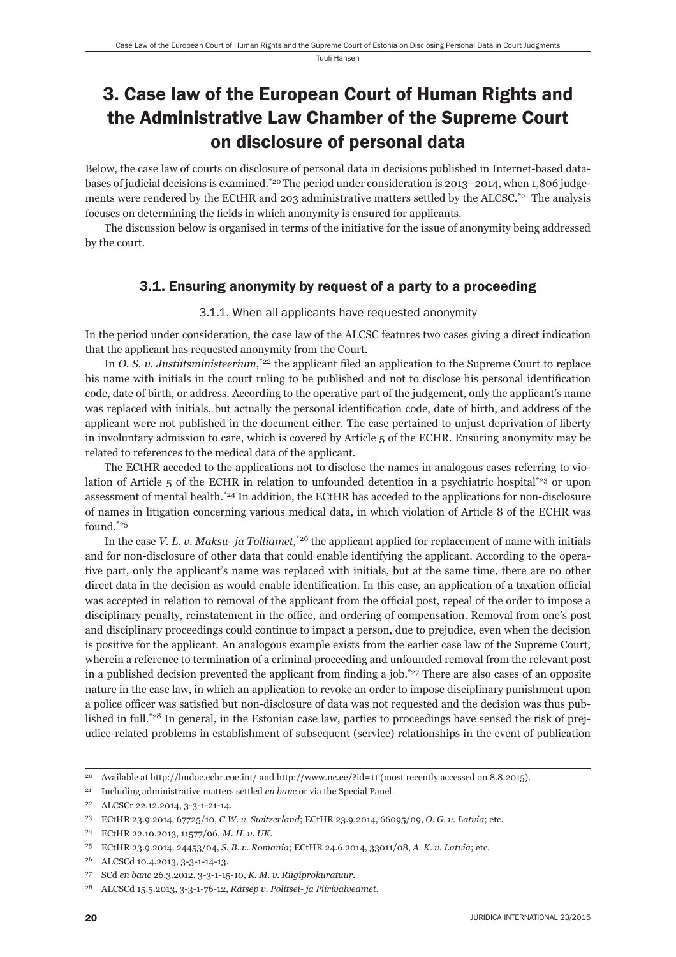Tuuli Hansen

# 3. Case law of the European Court of Human Rights and the Administrative Law Chamber of the Supreme Court on disclosure of personal data

Below, the case law of courts on disclosure of personal data in decisions published in Internet-based databases of judicial decisions is examined.\*20 The period under consideration is 2013–2014, when 1,806 judgements were rendered by the ECtHR and 203 administrative matters settled by the ALCSC.<sup>\*21</sup> The analysis focuses on determining the fields in which anonymity is ensured for applicants.

The discussion below is organised in terms of the initiative for the issue of anonymity being addressed by the court.

## 3.1. Ensuring anonymity by request of a party to a proceeding

#### 3.1.1. When all applicants have requested anonymity

In the period under consideration, the case law of the ALCSC features two cases giving a direct indication that the applicant has requested anonymity from the Court.

In *O. S. v. Justiitsministeerium*,<sup>\*22</sup> the applicant filed an application to the Supreme Court to replace his name with initials in the court ruling to be published and not to disclose his personal identification code, date of birth, or address. According to the operative part of the judgement, only the applicant's name was replaced with initials, but actually the personal identification code, date of birth, and address of the applicant were not published in the document either. The case pertained to unjust deprivation of liberty in involuntary admission to care, which is covered by Article 5 of the ECHR. Ensuring anonymity may be related to references to the medical data of the applicant.

The ECtHR acceded to the applications not to disclose the names in analogous cases referring to violation of Article 5 of the ECHR in relation to unfounded detention in a psychiatric hospital\*23 or upon assessment of mental health.\*24 In addition, the ECtHR has acceded to the applications for non-disclosure of names in litigation concerning various medical data, in which violation of Article 8 of the ECHR was found.\*25

In the case *V. L. v. Maksu- ja Tolliamet*,<sup>\*26</sup> the applicant applied for replacement of name with initials and for non-disclosure of other data that could enable identifying the applicant. According to the operative part, only the applicant's name was replaced with initials, but at the same time, there are no other direct data in the decision as would enable identification. In this case, an application of a taxation official was accepted in relation to removal of the applicant from the official post, repeal of the order to impose a disciplinary penalty, reinstatement in the office, and ordering of compensation. Removal from one's post and disciplinary proceedings could continue to impact a person, due to prejudice, even when the decision is positive for the applicant. An analogous example exists from the earlier case law of the Supreme Court, wherein a reference to termination of a criminal proceeding and unfounded removal from the relevant post in a published decision prevented the applicant from finding a job.<sup>\*27</sup> There are also cases of an opposite nature in the case law, in which an application to revoke an order to impose disciplinary punishment upon a police officer was satisfied but non-disclosure of data was not requested and the decision was thus published in full.\*28 In general, in the Estonian case law, parties to proceedings have sensed the risk of prejudice-related problems in establishment of subsequent (service) relationships in the event of publication

<sup>20</sup> Available at http://hudoc.echr.coe.int/ and http://www.nc.ee/?id=11 (most recently accessed on 8.8.2015).

<sup>21</sup> Including administrative matters settled *en banc* or via the Special Panel.

<sup>22</sup> ALCSCr 22.12.2014, 3-3-1-21-14.

<sup>23</sup> ECtHR 23.9.2014, 67725/10, *C.W. v. Switzerland*; ECtHR 23.9.2014, 66095/09, *O. G. v. Latvia*; etc.

<sup>24</sup> ECtHR 22.10.2013, 11577/06, *M. H. v. UK*.

<sup>25</sup> ECtHR 23.9.2014, 24453/04, *S. B. v. Romania*; ECtHR 24.6.2014, 33011/08, *A. K. v. Latvia*; etc.

<sup>26</sup> ALCSCd 10.4.2013, 3-3-1-14-13.

<sup>27</sup> SCd *en banc* 26.3.2012, 3-3-1-15-10, *K. M. v. Riigiprokuratuur*.

<sup>28</sup> ALCSCd 15.5.2013, 3-3-1-76-12, *Rätsep v. Politsei- ja Piirivalveamet*.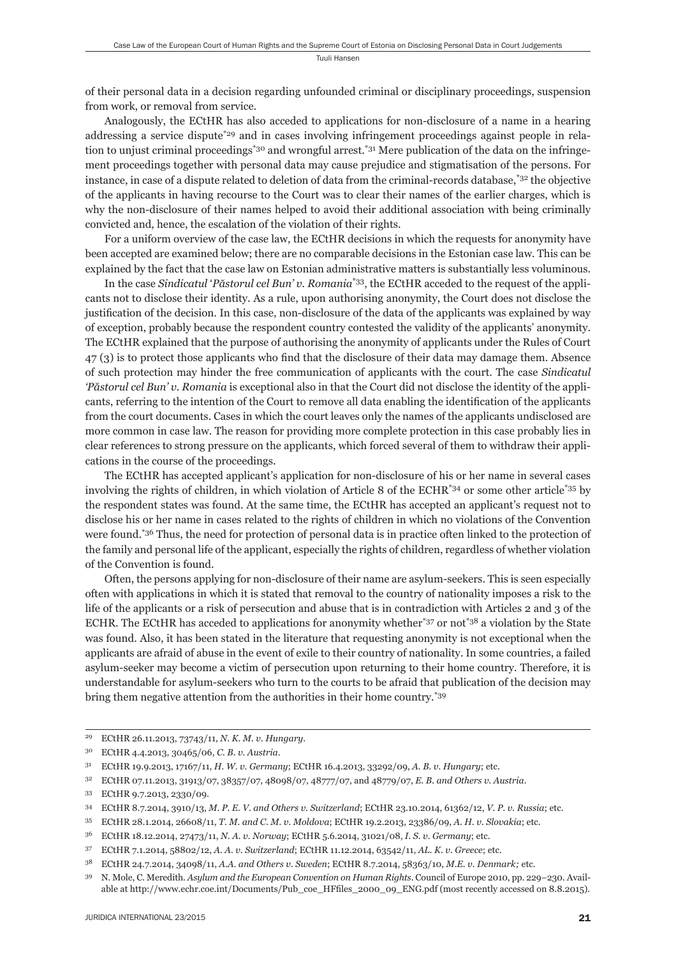of their personal data in a decision regarding unfounded criminal or disciplinary proceedings, suspension from work, or removal from service.

Analogously, the ECtHR has also acceded to applications for non-disclosure of a name in a hearing addressing a service dispute<sup>\*29</sup> and in cases involving infringement proceedings against people in relation to unjust criminal proceedings<sup>\*30</sup> and wrongful arrest.<sup>\*31</sup> Mere publication of the data on the infringement proceedings together with personal data may cause prejudice and stigmatisation of the persons. For instance, in case of a dispute related to deletion of data from the criminal-records database,\*32 the objective of the applicants in having recourse to the Court was to clear their names of the earlier charges, which is why the non-disclosure of their names helped to avoid their additional association with being criminally convicted and, hence, the escalation of the violation of their rights.

For a uniform overview of the case law, the ECtHR decisions in which the requests for anonymity have been accepted are examined below; there are no comparable decisions in the Estonian case law. This can be explained by the fact that the case law on Estonian administrative matters is substantially less voluminous.

In the case *Sindicatul* '*Păstorul cel Bun' v. Romania*\*33, the ECtHR acceded to the request of the applicants not to disclose their identity. As a rule, upon authorising anonymity, the Court does not disclose the justification of the decision. In this case, non-disclosure of the data of the applicants was explained by way of exception, probably because the respondent country contested the validity of the applicants' anonymity. The ECtHR explained that the purpose of authorising the anonymity of applicants under the Rules of Court  $47$  (3) is to protect those applicants who find that the disclosure of their data may damage them. Absence of such protection may hinder the free communication of applicants with the court. The case *Sindicatul 'Păstorul cel Bun' v. Romania* is exceptional also in that the Court did not disclose the identity of the applicants, referring to the intention of the Court to remove all data enabling the identification of the applicants from the court documents. Cases in which the court leaves only the names of the applicants undisclosed are more common in case law. The reason for providing more complete protection in this case probably lies in clear references to strong pressure on the applicants, which forced several of them to withdraw their applications in the course of the proceedings.

The ECtHR has accepted applicant's application for non-disclosure of his or her name in several cases involving the rights of children, in which violation of Article 8 of the ECHR\*34 or some other article\*35 by the respondent states was found. At the same time, the ECtHR has accepted an applicant's request not to disclose his or her name in cases related to the rights of children in which no violations of the Convention were found.<sup>\*36</sup> Thus, the need for protection of personal data is in practice often linked to the protection of the family and personal life of the applicant, especially the rights of children, regardless of whether violation of the Convention is found.

Often, the persons applying for non-disclosure of their name are asylum-seekers. This is seen especially often with applications in which it is stated that removal to the country of nationality imposes a risk to the life of the applicants or a risk of persecution and abuse that is in contradiction with Articles 2 and 3 of the ECHR. The ECtHR has acceded to applications for anonymity whether\*37 or not\*38 a violation by the State was found. Also, it has been stated in the literature that requesting anonymity is not exceptional when the applicants are afraid of abuse in the event of exile to their country of nationality. In some countries, a failed asylum-seeker may become a victim of persecution upon returning to their home country. Therefore, it is understandable for asylum-seekers who turn to the courts to be afraid that publication of the decision may bring them negative attention from the authorities in their home country.\*39

<sup>29</sup> ECtHR 26.11.2013, 73743/11, *N. K. M. v. Hungary*.

<sup>30</sup> ECtHR 4.4.2013, 30465/06, *C. B. v. Austria*.

<sup>31</sup> ECtHR 19.9.2013, 17167/11, *H. W. v. Germany*; ECtHR 16.4.2013, 33292/09, *A. B. v. Hungary*; etc.

<sup>32</sup> ECtHR 07.11.2013, 31913/07, 38357/07, 48098/07, 48777/07, and 48779/07, *E. B. and Others v. Austria*.

<sup>33</sup> ECtHR 9.7.2013, 2330/09.

<sup>34</sup> ECtHR 8.7.2014, 3910/13, *M. P. E. V. and Others v. Switzerland*; ECtHR 23.10.2014, 61362/12, *V. P. v. Russia*; etc.

<sup>35</sup> ECtHR 28.1.2014, 26608/11, *T. M. and C. M. v. Moldova*; ECtHR 19.2.2013, 23386/09, *A. H. v. Slovakia*; etc.

<sup>36</sup> ECtHR 18.12.2014, 27473/11, *N. A. v. Norway*; ECtHR 5.6.2014, 31021/08, *I. S. v. Germany*; etc.

<sup>37</sup> ECtHR 7.1.2014, 58802/12, *A. A. v. Switzerland*; ECtHR 11.12.2014, 63542/11, *AL. K. v. Greece*; etc.

<sup>38</sup> ECtHR 24.7.2014, 34098/11, *A.A. and Others v. Sweden*; ECtHR 8.7.2014, 58363/10, *M.E. v. Denmark;* etc.

<sup>39</sup> N. Mole, C. Meredith. *Asylum and the European Convention on Human Rights*. Council of Europe 2010, pp. 229−230. Available at http://www.echr.coe.int/Documents/Pub\_coe\_HFfiles\_2000\_09\_ENG.pdf (most recently accessed on 8.8.2015).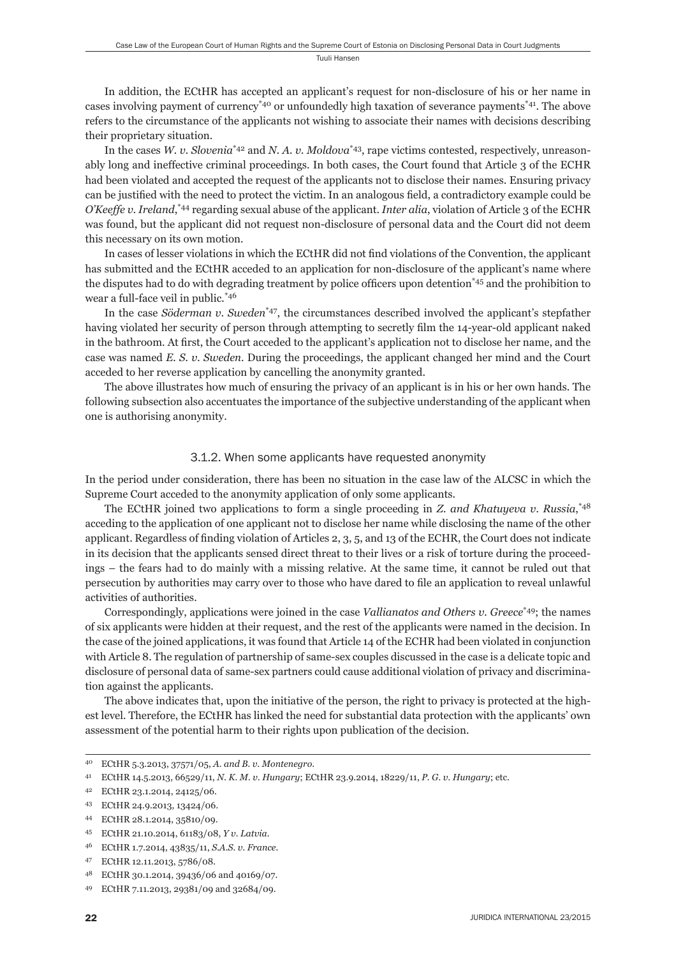In addition, the ECtHR has accepted an applicant's request for non-disclosure of his or her name in cases involving payment of currency\*40 or unfoundedly high taxation of severance payments\*41. The above refers to the circumstance of the applicants not wishing to associate their names with decisions describing their proprietary situation.

In the cases *W. v. Slovenia*\*42 and *N. A. v. Moldova*\*43, rape victims contested, respectively, unreasonably long and ineffective criminal proceedings. In both cases, the Court found that Article 3 of the ECHR had been violated and accepted the request of the applicants not to disclose their names. Ensuring privacy can be justified with the need to protect the victim. In an analogous field, a contradictory example could be *O'Keeffe v. Ireland*, \*44 regarding sexual abuse of the applicant. *Inter alia*, violation of Article 3 of the ECHR was found, but the applicant did not request non-disclosure of personal data and the Court did not deem this necessary on its own motion.

In cases of lesser violations in which the ECtHR did not find violations of the Convention, the applicant has submitted and the ECtHR acceded to an application for non-disclosure of the applicant's name where the disputes had to do with degrading treatment by police officers upon detention<sup>\*45</sup> and the prohibition to wear a full-face veil in public.\*46

In the case *Söderman v. Sweden*\*47, the circumstances described involved the applicant's stepfather having violated her security of person through attempting to secretly film the 14-year-old applicant naked in the bathroom. At first, the Court acceded to the applicant's application not to disclose her name, and the case was named *E. S. v. Sweden*. During the proceedings, the applicant changed her mind and the Court acceded to her reverse application by cancelling the anonymity granted.

The above illustrates how much of ensuring the privacy of an applicant is in his or her own hands. The following subsection also accentuates the importance of the subjective understanding of the applicant when one is authorising anonymity.

#### 3.1.2. When some applicants have requested anonymity

In the period under consideration, there has been no situation in the case law of the ALCSC in which the Supreme Court acceded to the anonymity application of only some applicants.

The ECtHR joined two applications to form a single proceeding in *Z. and Khatuyeva v. Russia*, \*48 acceding to the application of one applicant not to disclose her name while disclosing the name of the other applicant. Regardless of finding violation of Articles  $2, 3, 5$ , and 13 of the ECHR, the Court does not indicate in its decision that the applicants sensed direct threat to their lives or a risk of torture during the proceedings – the fears had to do mainly with a missing relative. At the same time, it cannot be ruled out that persecution by authorities may carry over to those who have dared to file an application to reveal unlawful activities of authorities.

Correspondingly, applications were joined in the case *Vallianatos and Others v. Greece*\*49; the names of six applicants were hidden at their request, and the rest of the applicants were named in the decision. In the case of the joined applications, it was found that Article 14 of the ECHR had been violated in conjunction with Article 8. The regulation of partnership of same-sex couples discussed in the case is a delicate topic and disclosure of personal data of same-sex partners could cause additional violation of privacy and discrimination against the applicants.

The above indicates that, upon the initiative of the person, the right to privacy is protected at the highest level. Therefore, the ECtHR has linked the need for substantial data protection with the applicants' own assessment of the potential harm to their rights upon publication of the decision.

<sup>40</sup> ECtHR 5.3.2013, 37571/05, *A. and B. v. Montenegro*.

<sup>41</sup> ECtHR 14.5.2013, 66529/11, *N. K. M. v. Hungary*; ECtHR 23.9.2014, 18229/11, *P. G. v. Hungary*; etc.

<sup>42</sup> ECtHR 23.1.2014, 24125/06.

<sup>43</sup> ECtHR 24.9.2013, 13424/06.

<sup>44</sup> ECtHR 28.1.2014, 35810/09.

<sup>45</sup> ECtHR 21.10.2014, 61183/08, *Y v. Latvia*.

<sup>46</sup> ECtHR 1.7.2014, 43835/11, *S.A.S. v. France*.

<sup>47</sup> ECtHR 12.11.2013, 5786/08.

<sup>48</sup> ECtHR 30.1.2014, 39436/06 and 40169/07.

<sup>49</sup> ECtHR 7.11.2013, 29381/09 and 32684/09.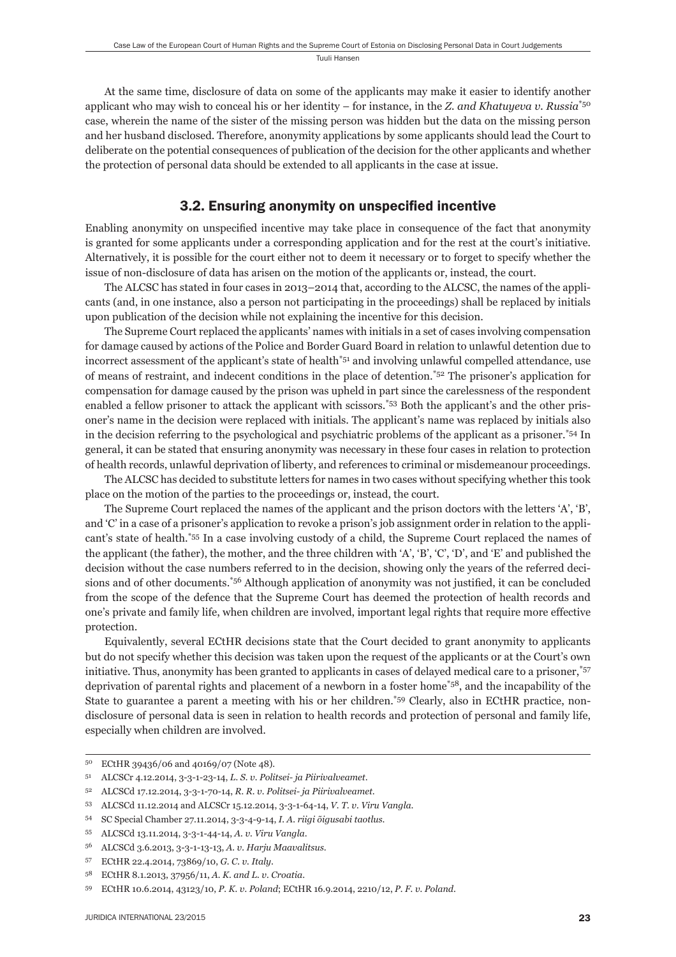At the same time, disclosure of data on some of the applicants may make it easier to identify another applicant who may wish to conceal his or her identity – for instance, in the *Z. and Khatuyeva v. Russia*\*50 case, wherein the name of the sister of the missing person was hidden but the data on the missing person and her husband disclosed. Therefore, anonymity applications by some applicants should lead the Court to deliberate on the potential consequences of publication of the decision for the other applicants and whether the protection of personal data should be extended to all applicants in the case at issue.

#### 3.2. Ensuring anonymity on unspecified incentive

Enabling anonymity on unspecified incentive may take place in consequence of the fact that anonymity is granted for some applicants under a corresponding application and for the rest at the court's initiative. Alternatively, it is possible for the court either not to deem it necessary or to forget to specify whether the issue of non-disclosure of data has arisen on the motion of the applicants or, instead, the court.

The ALCSC has stated in four cases in 2013–2014 that, according to the ALCSC, the names of the applicants (and, in one instance, also a person not participating in the proceedings) shall be replaced by initials upon publication of the decision while not explaining the incentive for this decision.

The Supreme Court replaced the applicants' names with initials in a set of cases involving compensation for damage caused by actions of the Police and Border Guard Board in relation to unlawful detention due to incorrect assessment of the applicant's state of health<sup>\*51</sup> and involving unlawful compelled attendance, use of means of restraint, and indecent conditions in the place of detention.\*52 The prisoner's application for compensation for damage caused by the prison was upheld in part since the carelessness of the respondent enabled a fellow prisoner to attack the applicant with scissors.\*53 Both the applicant's and the other prisoner's name in the decision were replaced with initials. The applicant's name was replaced by initials also in the decision referring to the psychological and psychiatric problems of the applicant as a prisoner.\*54 In general, it can be stated that ensuring anonymity was necessary in these four cases in relation to protection of health records, unlawful deprivation of liberty, and references to criminal or misdemeanour proceedings.

The ALCSC has decided to substitute letters for names in two cases without specifying whether this took place on the motion of the parties to the proceedings or, instead, the court.

The Supreme Court replaced the names of the applicant and the prison doctors with the letters 'A', 'B', and 'C' in a case of a prisoner's application to revoke a prison's job assignment order in relation to the applicant's state of health.\*55 In a case involving custody of a child, the Supreme Court replaced the names of the applicant (the father), the mother, and the three children with 'A', 'B', 'C', 'D', and 'E' and published the decision without the case numbers referred to in the decision, showing only the years of the referred decisions and of other documents.<sup>\*56</sup> Although application of anonymity was not justified, it can be concluded from the scope of the defence that the Supreme Court has deemed the protection of health records and one's private and family life, when children are involved, important legal rights that require more effective protection.

Equivalently, several ECtHR decisions state that the Court decided to grant anonymity to applicants but do not specify whether this decision was taken upon the request of the applicants or at the Court's own initiative. Thus, anonymity has been granted to applicants in cases of delayed medical care to a prisoner,\*57 deprivation of parental rights and placement of a newborn in a foster home\*58, and the incapability of the State to guarantee a parent a meeting with his or her children.\*59 Clearly, also in ECtHR practice, nondisclosure of personal data is seen in relation to health records and protection of personal and family life, especially when children are involved.

<sup>50</sup> ECtHR 39436/06 and 40169/07 (Note 48).

<sup>51</sup> ALCSCr 4.12.2014, 3-3-1-23-14, *L. S. v. Politsei- ja Piirivalveamet*.

<sup>52</sup> ALCSCd 17.12.2014, 3-3-1-70-14, *R. R. v. Politsei- ja Piirivalveamet*.

<sup>53</sup> ALCSCd 11.12.2014 and ALCSCr 15.12.2014, 3-3-1-64-14, *V. T. v. Viru Vangla*.

<sup>54</sup> SC Special Chamber 27.11.2014, 3-3-4-9-14, *I. A. riigi õigusabi taotlus*.

<sup>55</sup> ALCSCd 13.11.2014, 3-3-1-44-14, *A. v. Viru Vangla*.

<sup>56</sup> ALCSCd 3.6.2013, 3-3-1-13-13, *A. v. Harju Maavalitsus*.

<sup>57</sup> ECtHR 22.4.2014, 73869/10, *G. C. v. Italy*.

<sup>58</sup> ECtHR 8.1.2013, 37956/11, *A. K. and L. v. Croatia*.

<sup>59</sup> ECtHR 10.6.2014, 43123/10, *P. K. v. Poland*; ECtHR 16.9.2014, 2210/12, *P. F. v. Poland*.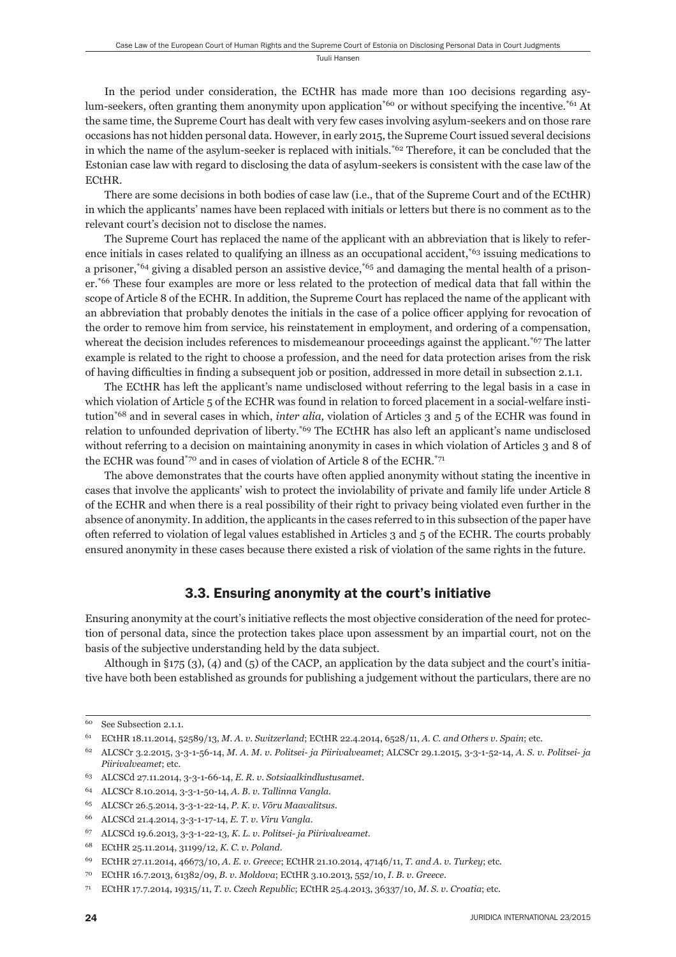In the period under consideration, the ECtHR has made more than 100 decisions regarding asylum-seekers, often granting them anonymity upon application<sup>\*60</sup> or without specifying the incentive.<sup>\*61</sup> At the same time, the Supreme Court has dealt with very few cases involving asylum-seekers and on those rare occasions has not hidden personal data. However, in early 2015, the Supreme Court issued several decisions in which the name of the asylum-seeker is replaced with initials.\*62 Therefore, it can be concluded that the Estonian case law with regard to disclosing the data of asylum-seekers is consistent with the case law of the ECtHR.

There are some decisions in both bodies of case law (i.e., that of the Supreme Court and of the ECtHR) in which the applicants' names have been replaced with initials or letters but there is no comment as to the relevant court's decision not to disclose the names.

The Supreme Court has replaced the name of the applicant with an abbreviation that is likely to reference initials in cases related to qualifying an illness as an occupational accident,\*63 issuing medications to a prisoner,<sup>\*64</sup> giving a disabled person an assistive device,<sup>\*65</sup> and damaging the mental health of a prisoner.\*66 These four examples are more or less related to the protection of medical data that fall within the scope of Article 8 of the ECHR. In addition, the Supreme Court has replaced the name of the applicant with an abbreviation that probably denotes the initials in the case of a police officer applying for revocation of the order to remove him from service, his reinstatement in employment, and ordering of a compensation, whereat the decision includes references to misdemeanour proceedings against the applicant.<sup>\*67</sup> The latter example is related to the right to choose a profession, and the need for data protection arises from the risk of having difficulties in finding a subsequent job or position, addressed in more detail in subsection 2.1.1.

The ECtHR has left the applicant's name undisclosed without referring to the legal basis in a case in which violation of Article 5 of the ECHR was found in relation to forced placement in a social-welfare institution\*68 and in several cases in which, *inter alia*, violation of Articles 3 and 5 of the ECHR was found in relation to unfounded deprivation of liberty.\*69 The ECtHR has also left an applicant's name undisclosed without referring to a decision on maintaining anonymity in cases in which violation of Articles 3 and 8 of the ECHR was found\*70 and in cases of violation of Article 8 of the ECHR.\*71

The above demonstrates that the courts have often applied anonymity without stating the incentive in cases that involve the applicants' wish to protect the inviolability of private and family life under Article 8 of the ECHR and when there is a real possibility of their right to privacy being violated even further in the absence of anonymity. In addition, the applicants in the cases referred to in this subsection of the paper have often referred to violation of legal values established in Articles 3 and 5 of the ECHR. The courts probably ensured anonymity in these cases because there existed a risk of violation of the same rights in the future.

## 3.3. Ensuring anonymity at the court's initiative

Ensuring anonymity at the court's initiative reflects the most objective consideration of the need for protection of personal data, since the protection takes place upon assessment by an impartial court, not on the basis of the subjective understanding held by the data subject.

Although in §175 (3), (4) and (5) of the CACP, an application by the data subject and the court's initiative have both been established as grounds for publishing a judgement without the particulars, there are no

<sup>60</sup> See Subsection 2.1.1.

<sup>61</sup> ECtHR 18.11.2014, 52589/13, *M. A. v. Switzerland*; ECtHR 22.4.2014, 6528/11, *A. C. and Others v. Spain*; etc.

<sup>62</sup> ALCSCr 3.2.2015, 3-3-1-56-14, *M. A. M. v. Politsei- ja Piirivalveamet*; ALCSCr 29.1.2015, 3-3-1-52-14, *A. S. v. Politsei- ja Piirivalveamet*; etc.

<sup>63</sup> ALCSCd 27.11.2014, 3-3-1-66-14, *E. R. v. Sotsiaalkindlustusamet*.

<sup>64</sup> ALCSCr 8.10.2014, 3-3-1-50-14, *A. B. v. Tallinna Vangla*.

<sup>65</sup> ALCSCr 26.5.2014, 3-3-1-22-14, *P. K. v. Võru Maavalitsus*.

<sup>66</sup> ALCSCd 21.4.2014, 3-3-1-17-14, *E. T. v. Viru Vangla*.

<sup>67</sup> ALCSCd 19.6.2013, 3-3-1-22-13, *K. L. v. Politsei- ja Piirivalveamet*.

<sup>68</sup> ECtHR 25.11.2014, 31199/12, *K. C. v. Poland*.

<sup>69</sup> ECtHR 27.11.2014, 46673/10, *A. E. v. Greece*; ECtHR 21.10.2014, 47146/11, *T. and A. v. Turkey*; etc.

<sup>70</sup> ECtHR 16.7.2013, 61382/09, *B. v. Moldova*; ECtHR 3.10.2013, 552/10, *I. B. v. Greece*.

<sup>71</sup> ECtHR 17.7.2014, 19315/11, *T. v. Czech Republic*; ECtHR 25.4.2013, 36337/10, *M. S. v. Croatia*; etc.